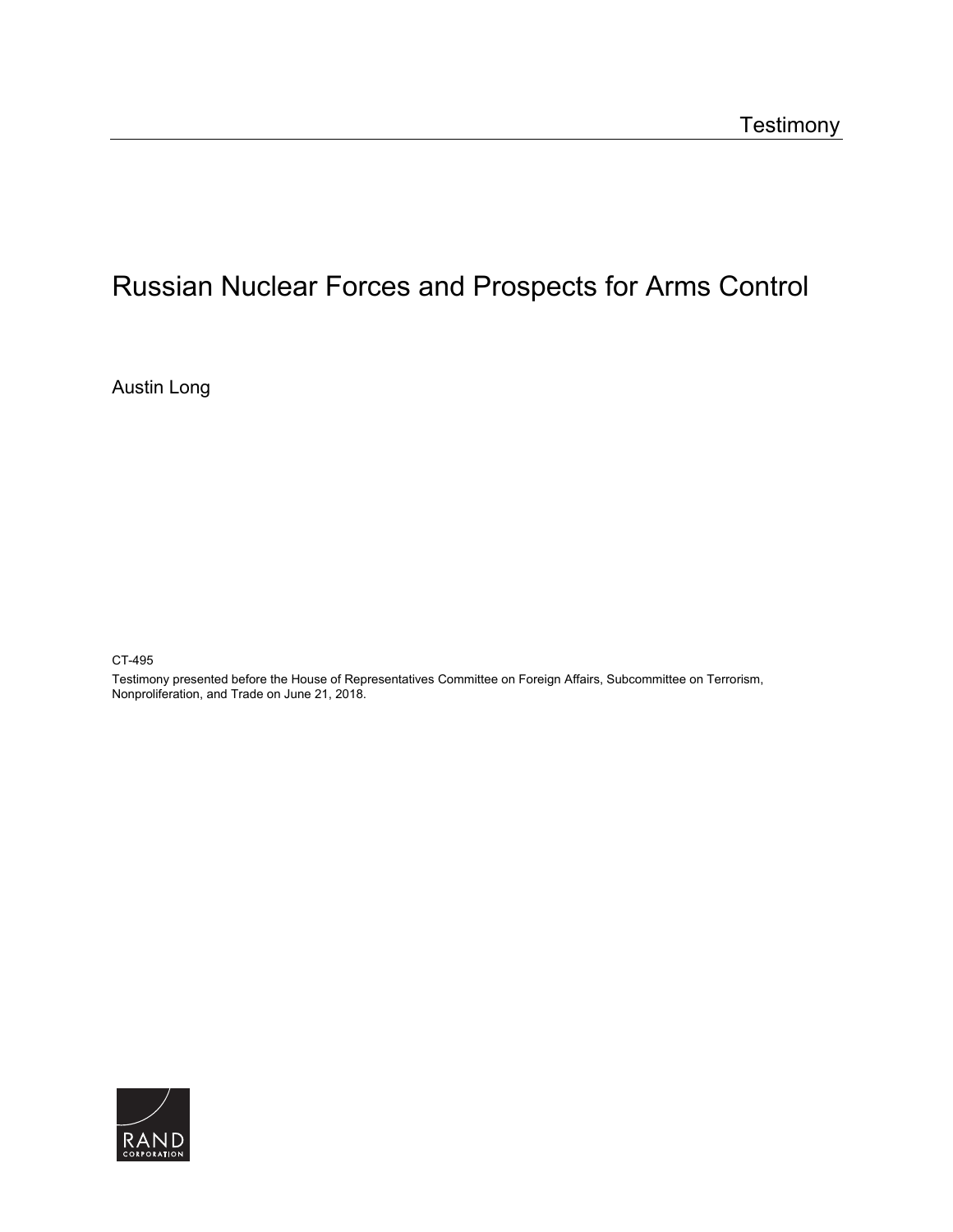# [Russian Nuclear Forces and Prospects for Arms Control](https://www.rand.org/pubs/testimonies/CT495.html)

Austin Long

CT-495

Testimony presented before the House of Representatives Committee on Foreign Affairs, Subcommittee on Terrorism, Nonproliferation, and Trade on June 21, 2018.

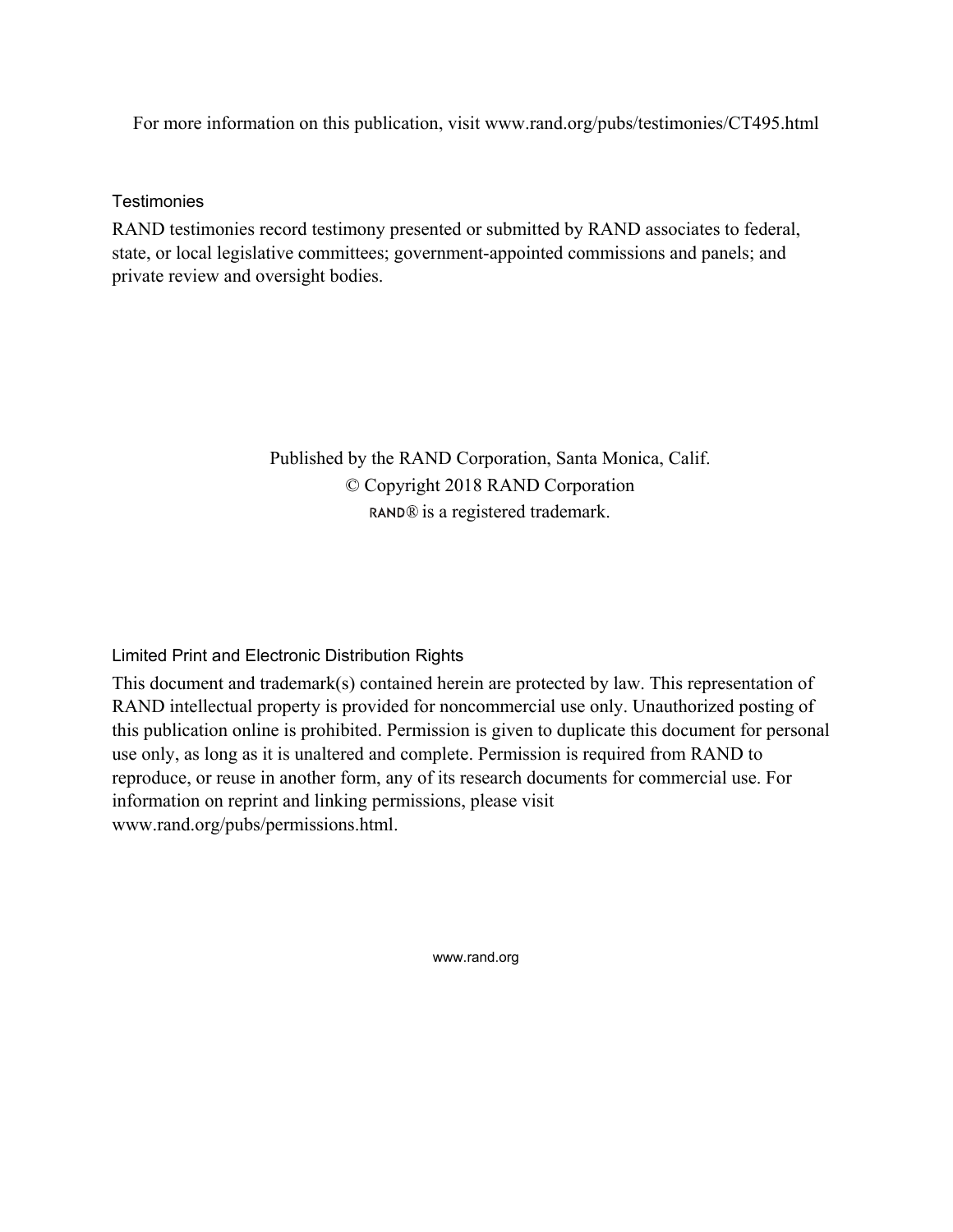For more information on this publication, visit [www.rand.org/pubs/testimonies/CT495.html](http://www.rand.org/pubs/testimonies/CT495.html) 

**Testimonies** 

RAND testimonies record testimony presented or submitted by RAND associates to federal, state, or local legislative committees; government-appointed commissions and panels; and private review and oversight bodies.

> Published by the RAND Corporation, Santa Monica, Calif. © Copyright 2018 RAND Corporation RAND<sup>®</sup> is a registered trademark.

Limited Print and Electronic Distribution Rights

This document and trademark(s) contained herein are protected by law. This representation of RAND intellectual property is provided for noncommercial use only. Unauthorized posting of this publication online is prohibited. Permission is given to duplicate this document for personal use only, as long as it is unaltered and complete. Permission is required from RAND to reproduce, or reuse in another form, any of its research documents for commercial use. For information on reprint and linking permissions, please visit [www.rand.org/pubs/permissions.html.](http://www.rand.org/pubs/permissions.html)

[www.rand.org](http://www.rand.org)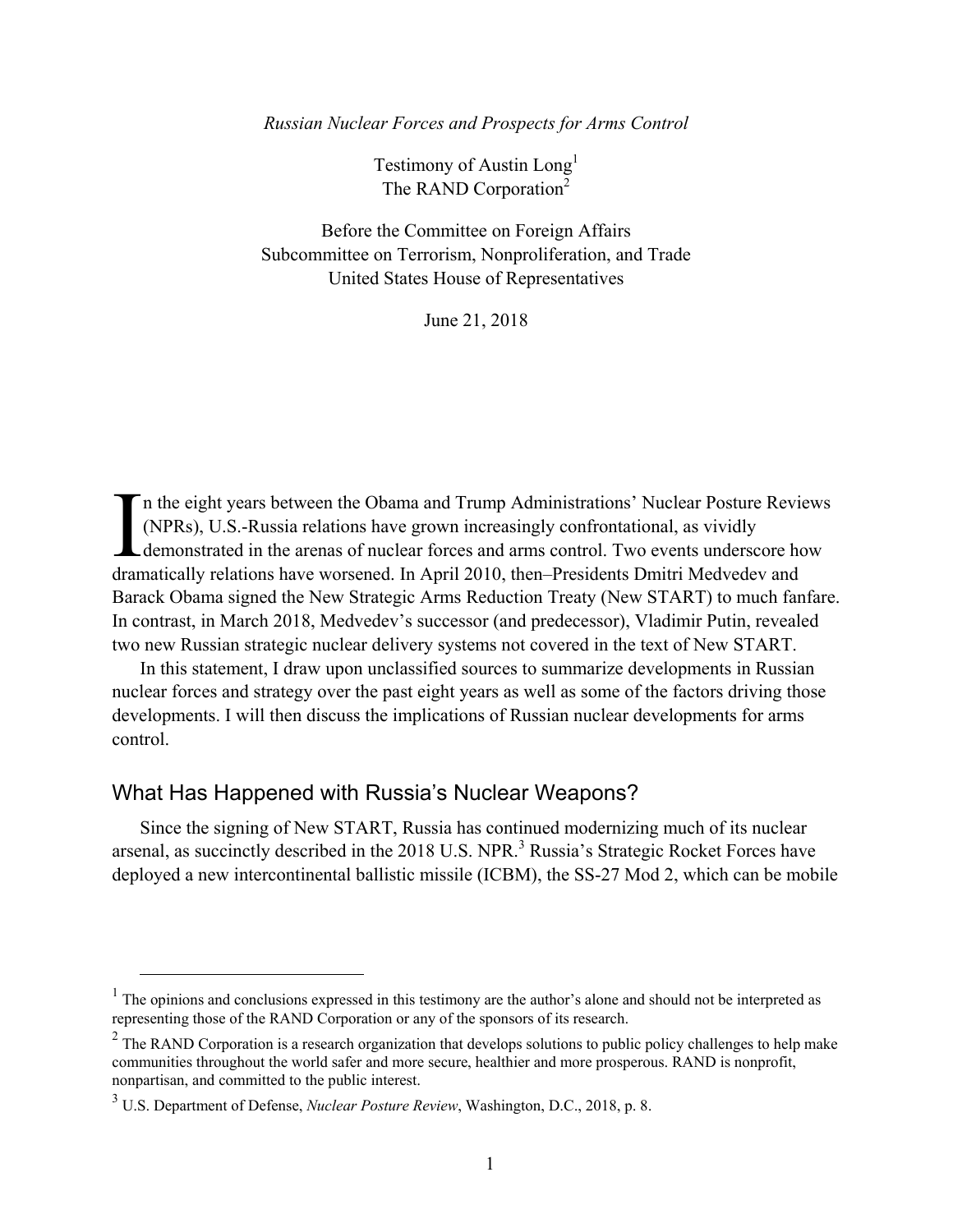*Russian Nuclear Forces and Prospects for Arms Control* 

Testimony of Austin Long<sup>1</sup> The RAND Corporation<sup>2</sup>

Before the Committee on Foreign Affairs Subcommittee on Terrorism, Nonproliferation, and Trade United States House of Representatives

June 21, 2018

n the eight years between the Obama and Trump Administrations' Nuclear Posture Reviews (NPRs), U.S.-Russia relations have grown increasingly confrontational, as vividly demonstrated in the arenas of nuclear forces and arms control. Two events underscore how In the eight years between the Obama and Trump Administrations' Nuclear Posture Review (NPRs), U.S.-Russia relations have grown increasingly confrontational, as vividly demonstrated in the arenas of nuclear forces and arms Barack Obama signed the New Strategic Arms Reduction Treaty (New START) to much fanfare. In contrast, in March 2018, Medvedev's successor (and predecessor), Vladimir Putin, revealed two new Russian strategic nuclear delivery systems not covered in the text of New START.

In this statement, I draw upon unclassified sources to summarize developments in Russian nuclear forces and strategy over the past eight years as well as some of the factors driving those developments. I will then discuss the implications of Russian nuclear developments for arms control.

#### What Has Happened with Russia's Nuclear Weapons?

Since the signing of New START, Russia has continued modernizing much of its nuclear arsenal, as succinctly described in the 2018 U.S. NPR.<sup>3</sup> Russia's Strategic Rocket Forces have deployed a new intercontinental ballistic missile (ICBM), the SS-27 Mod 2, which can be mobile

<sup>&</sup>lt;sup>1</sup> The opinions and conclusions expressed in this testimony are the author's alone and should not be interpreted as representing those of the RAND Corporation or any of the sponsors of its research.

<sup>&</sup>lt;sup>2</sup> The RAND Corporation is a research organization that develops solutions to public policy challenges to help make communities throughout the world safer and more secure, healthier and more prosperous. RAND is nonprofit, nonpartisan, and committed to the public interest.

<sup>3</sup> U.S. Department of Defense, *Nuclear Posture Review*, Washington, D.C., 2018, p. 8.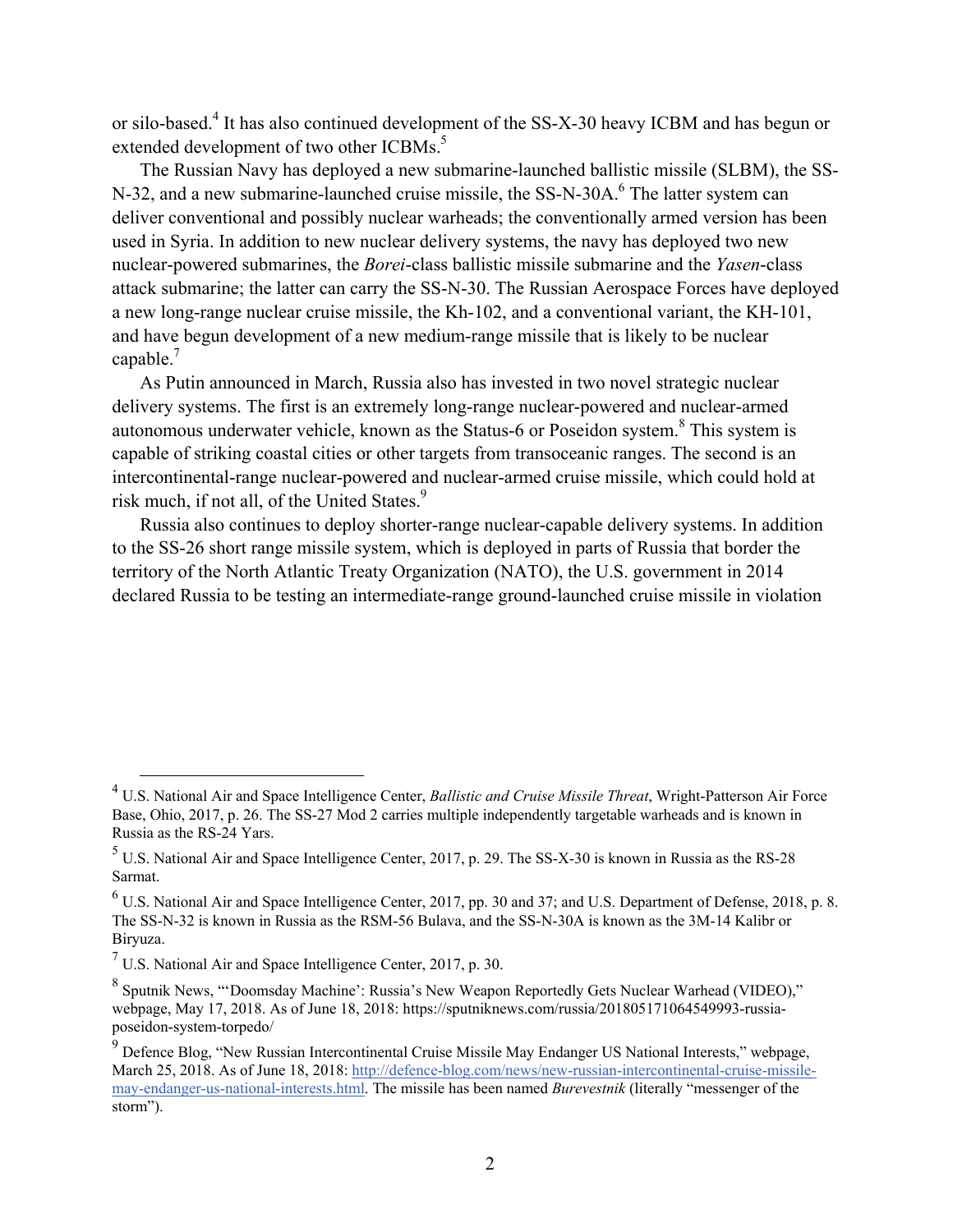or silo-based.<sup>4</sup> It has also continued development of the SS-X-30 heavy ICBM and has begun or extended development of two other ICBMs.<sup>5</sup>

The Russian Navy has deployed a new submarine-launched ballistic missile (SLBM), the SS-N-32, and a new submarine-launched cruise missile, the SS-N-30A.<sup>6</sup> The latter system can deliver conventional and possibly nuclear warheads; the conventionally armed version has been used in Syria. In addition to new nuclear delivery systems, the navy has deployed two new nuclear-powered submarines, the *Borei*-class ballistic missile submarine and the *Yasen*-class attack submarine; the latter can carry the SS-N-30. The Russian Aerospace Forces have deployed a new long-range nuclear cruise missile, the Kh-102, and a conventional variant, the KH-101, and have begun development of a new medium-range missile that is likely to be nuclear capable.<sup>7</sup>

As Putin announced in March, Russia also has invested in two novel strategic nuclear delivery systems. The first is an extremely long-range nuclear-powered and nuclear-armed autonomous underwater vehicle, known as the Status-6 or Poseidon system. $8$  This system is capable of striking coastal cities or other targets from transoceanic ranges. The second is an intercontinental-range nuclear-powered and nuclear-armed cruise missile, which could hold at risk much, if not all, of the United States.<sup>9</sup>

Russia also continues to deploy shorter-range nuclear-capable delivery systems. In addition to the SS-26 short range missile system, which is deployed in parts of Russia that border the territory of the North Atlantic Treaty Organization (NATO), the U.S. government in 2014 declared Russia to be testing an intermediate-range ground-launched cruise missile in violation

 <sup>4</sup> U.S. National Air and Space Intelligence Center, *Ballistic and Cruise Missile Threat*, Wright-Patterson Air Force Base, Ohio, 2017, p. 26. The SS-27 Mod 2 carries multiple independently targetable warheads and is known in Russia as the RS-24 Yars.

 $<sup>5</sup>$  U.S. National Air and Space Intelligence Center, 2017, p. 29. The SS-X-30 is known in Russia as the RS-28</sup> Sarmat.

<sup>&</sup>lt;sup>6</sup> U.S. National Air and Space Intelligence Center, 2017, pp. 30 and 37; and U.S. Department of Defense, 2018, p. 8. The SS-N-32 is known in Russia as the RSM-56 Bulava, and the SS-N-30A is known as the 3M-14 Kalibr or Biryuza.

 $<sup>7</sup>$  U.S. National Air and Space Intelligence Center, 2017, p. 30.</sup>

<sup>&</sup>lt;sup>8</sup> Sputnik News, "'Doomsday Machine': Russia's New Weapon Reportedly Gets Nuclear Warhead (VIDEO)," webpage, May 17, 2018. As of June 18, 2018: [https://sputniknews.com/russia/201805171064549993-russia](https://sputniknews.com/russia/201805171064549993-russia-poseidon-system-torpedo/)[poseidon-system-torpedo/](https://sputniknews.com/russia/201805171064549993-russia-poseidon-system-torpedo/) 

<sup>&</sup>lt;sup>9</sup> Defence Blog, "New Russian Intercontinental Cruise Missile May Endanger US National Interests," webpage, March 25, 2018. As of June 18, 2018: [http://defence-blog.com/news/new-russian-intercontinental-cruise-missile](http://defence-blog.com/news/new-russian-intercontinental-cruise-missile-may-endanger-us-national-interests.html)[may-endanger-us-national-interests.html.](http://defence-blog.com/news/new-russian-intercontinental-cruise-missile-may-endanger-us-national-interests.html) The missile has been named *Burevestnik* (literally "messenger of the storm").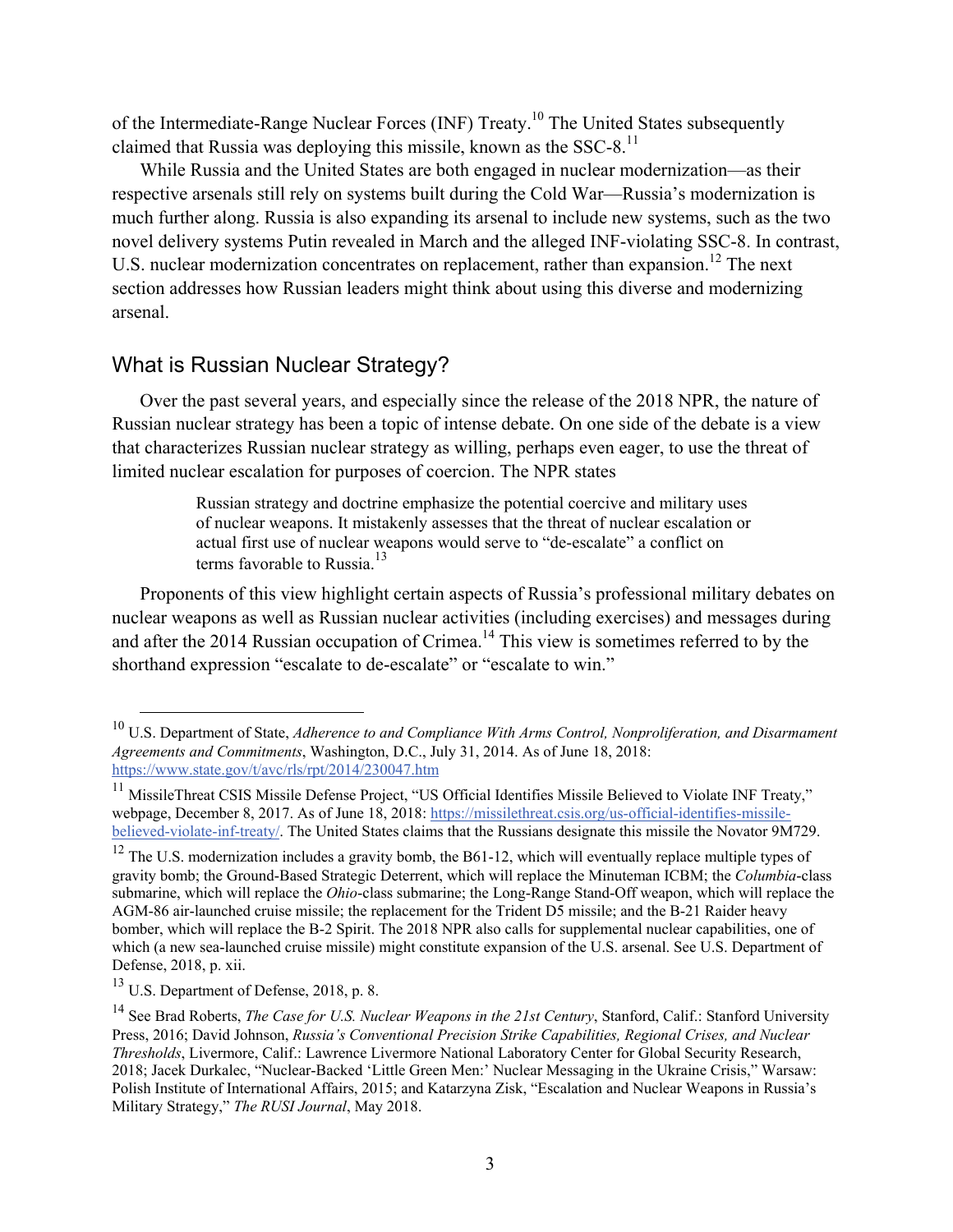of the Intermediate-Range Nuclear Forces (INF) Treaty.<sup>10</sup> The United States subsequently claimed that Russia was deploying this missile, known as the  $SSC-8$ <sup>11</sup>

While Russia and the United States are both engaged in nuclear modernization—as their respective arsenals still rely on systems built during the Cold War—Russia's modernization is much further along. Russia is also expanding its arsenal to include new systems, such as the two novel delivery systems Putin revealed in March and the alleged INF-violating SSC-8. In contrast, U.S. nuclear modernization concentrates on replacement, rather than expansion.<sup>12</sup> The next section addresses how Russian leaders might think about using this diverse and modernizing arsenal.

## What is Russian Nuclear Strategy?

Over the past several years, and especially since the release of the 2018 NPR, the nature of Russian nuclear strategy has been a topic of intense debate. On one side of the debate is a view that characterizes Russian nuclear strategy as willing, perhaps even eager, to use the threat of limited nuclear escalation for purposes of coercion. The NPR states

> Russian strategy and doctrine emphasize the potential coercive and military uses of nuclear weapons. It mistakenly assesses that the threat of nuclear escalation or actual first use of nuclear weapons would serve to "de-escalate" a conflict on terms favorable to Russia.<sup>13</sup>

Proponents of this view highlight certain aspects of Russia's professional military debates on nuclear weapons as well as Russian nuclear activities (including exercises) and messages during and after the 2014 Russian occupation of Crimea.<sup>14</sup> This view is sometimes referred to by the shorthand expression "escalate to de-escalate" or "escalate to win."

 <sup>10</sup> U.S. Department of State, *Adherence to and Compliance With Arms Control, Nonproliferation, and Disarmament Agreements and Commitments*, Washington, D.C., July 31, 2014. As of June 18, 2018: <https://www.state.gov/t/avc/rls/rpt/2014/230047.htm>

<sup>&</sup>lt;sup>11</sup> MissileThreat CSIS Missile Defense Project, "US Official Identifies Missile Believed to Violate INF Treaty," webpage, December 8, 2017. As of June 18, 2018: [https://missilethreat.csis.org/us-official-identifies-missile](https://missilethreat.csis.org/us-official-identifies-missile-believed-violate-inf-treaty/)[believed-violate-inf-treaty/.](https://missilethreat.csis.org/us-official-identifies-missile-believed-violate-inf-treaty/) The United States claims that the Russians designate this missile the Novator 9M729.

<sup>&</sup>lt;sup>12</sup> The U.S. modernization includes a gravity bomb, the B61-12, which will eventually replace multiple types of gravity bomb; the Ground-Based Strategic Deterrent, which will replace the Minuteman ICBM; the *Columbia*-class submarine, which will replace the *Ohio*-class submarine; the Long-Range Stand-Off weapon, which will replace the AGM-86 air-launched cruise missile; the replacement for the Trident D5 missile; and the B-21 Raider heavy bomber, which will replace the B-2 Spirit. The 2018 NPR also calls for supplemental nuclear capabilities, one of which (a new sea-launched cruise missile) might constitute expansion of the U.S. arsenal. See U.S. Department of Defense, 2018, p. xii.

 $13$  U.S. Department of Defense, 2018, p. 8.

<sup>&</sup>lt;sup>14</sup> See Brad Roberts, *The Case for U.S. Nuclear Weapons in the 21st Century*, Stanford, Calif.: Stanford University Press, 2016; David Johnson, *Russia's Conventional Precision Strike Capabilities, Regional Crises, and Nuclear Thresholds*, Livermore, Calif.: Lawrence Livermore National Laboratory Center for Global Security Research, 2018; Jacek Durkalec, "Nuclear-Backed 'Little Green Men:' Nuclear Messaging in the Ukraine Crisis," Warsaw: Polish Institute of International Affairs, 2015; and Katarzyna Zisk, "Escalation and Nuclear Weapons in Russia's Military Strategy," *The RUSI Journal*, May 2018.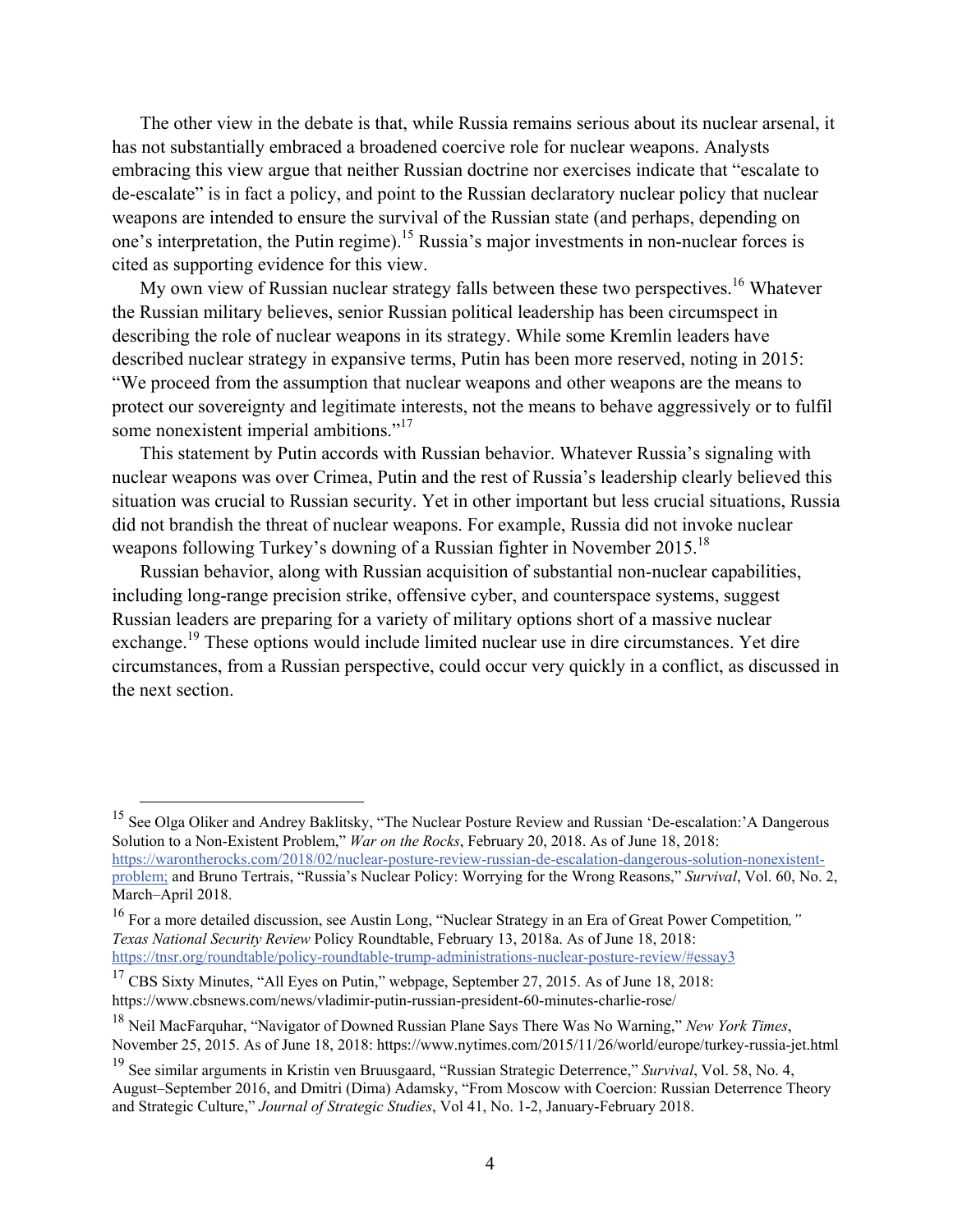The other view in the debate is that, while Russia remains serious about its nuclear arsenal, it has not substantially embraced a broadened coercive role for nuclear weapons. Analysts embracing this view argue that neither Russian doctrine nor exercises indicate that "escalate to de-escalate" is in fact a policy, and point to the Russian declaratory nuclear policy that nuclear weapons are intended to ensure the survival of the Russian state (and perhaps, depending on one's interpretation, the Putin regime).<sup>15</sup> Russia's major investments in non-nuclear forces is cited as supporting evidence for this view.

My own view of Russian nuclear strategy falls between these two perspectives.<sup>16</sup> Whatever the Russian military believes, senior Russian political leadership has been circumspect in describing the role of nuclear weapons in its strategy. While some Kremlin leaders have described nuclear strategy in expansive terms, Putin has been more reserved, noting in 2015: "We proceed from the assumption that nuclear weapons and other weapons are the means to protect our sovereignty and legitimate interests, not the means to behave aggressively or to fulfil some nonexistent imperial ambitions."<sup>17</sup>

This statement by Putin accords with Russian behavior. Whatever Russia's signaling with nuclear weapons was over Crimea, Putin and the rest of Russia's leadership clearly believed this situation was crucial to Russian security. Yet in other important but less crucial situations, Russia did not brandish the threat of nuclear weapons. For example, Russia did not invoke nuclear weapons following Turkey's downing of a Russian fighter in November 2015.<sup>18</sup>

Russian behavior, along with Russian acquisition of substantial non-nuclear capabilities, including long-range precision strike, offensive cyber, and counterspace systems, suggest Russian leaders are preparing for a variety of military options short of a massive nuclear exchange.19 These options would include limited nuclear use in dire circumstances. Yet dire circumstances, from a Russian perspective, could occur very quickly in a conflict, as discussed in the next section.

 <sup>15</sup> See Olga Oliker and Andrey Baklitsky, "The Nuclear Posture Review and Russian 'De-escalation:'A Dangerous Solution to a Non-Existent Problem," *War on the Rocks*, February 20, 2018. As of June 18, 2018: [https://warontherocks.com/2018/02/nuclear-posture-review-russian-de-escalation-dangerous-solution-nonexistent](https://warontherocks.com/2018/02/nuclear-posture-review-russian-de-escalation-dangerous-solution-nonexistent-problem)[problem;](https://warontherocks.com/2018/02/nuclear-posture-review-russian-de-escalation-dangerous-solution-nonexistent-problem) and Bruno Tertrais, "Russia's Nuclear Policy: Worrying for the Wrong Reasons," *Survival*, Vol. 60, No. 2, March–April 2018.

<sup>16</sup> For a more detailed discussion, see Austin Long, "Nuclear Strategy in an Era of Great Power Competition*," Texas National Security Review* Policy Roundtable, February 13, 2018a. As of June 18, 2018: <https://tnsr.org/roundtable/policy-roundtable-trump-administrations-nuclear-posture-review/#essay3>

 $17$  CBS Sixty Minutes, "All Eyes on Putin," webpage, September 27, 2015. As of June 18, 2018: <https://www.cbsnews.com/news/vladimir-putin-russian-president-60-minutes-charlie-rose/>

<sup>18</sup> Neil MacFarquhar, "Navigator of Downed Russian Plane Says There Was No Warning," *New York Times*, November 25, 2015. As of June 18, 2018:<https://www.nytimes.com/2015/11/26/world/europe/turkey-russia-jet.html>

<sup>19</sup> See similar arguments in Kristin ven Bruusgaard, "Russian Strategic Deterrence," *Survival*, Vol. 58, No. 4, August–September 2016, and Dmitri (Dima) Adamsky, "From Moscow with Coercion: Russian Deterrence Theory and Strategic Culture," *Journal of Strategic Studies*, Vol 41, No. 1-2, January-February 2018.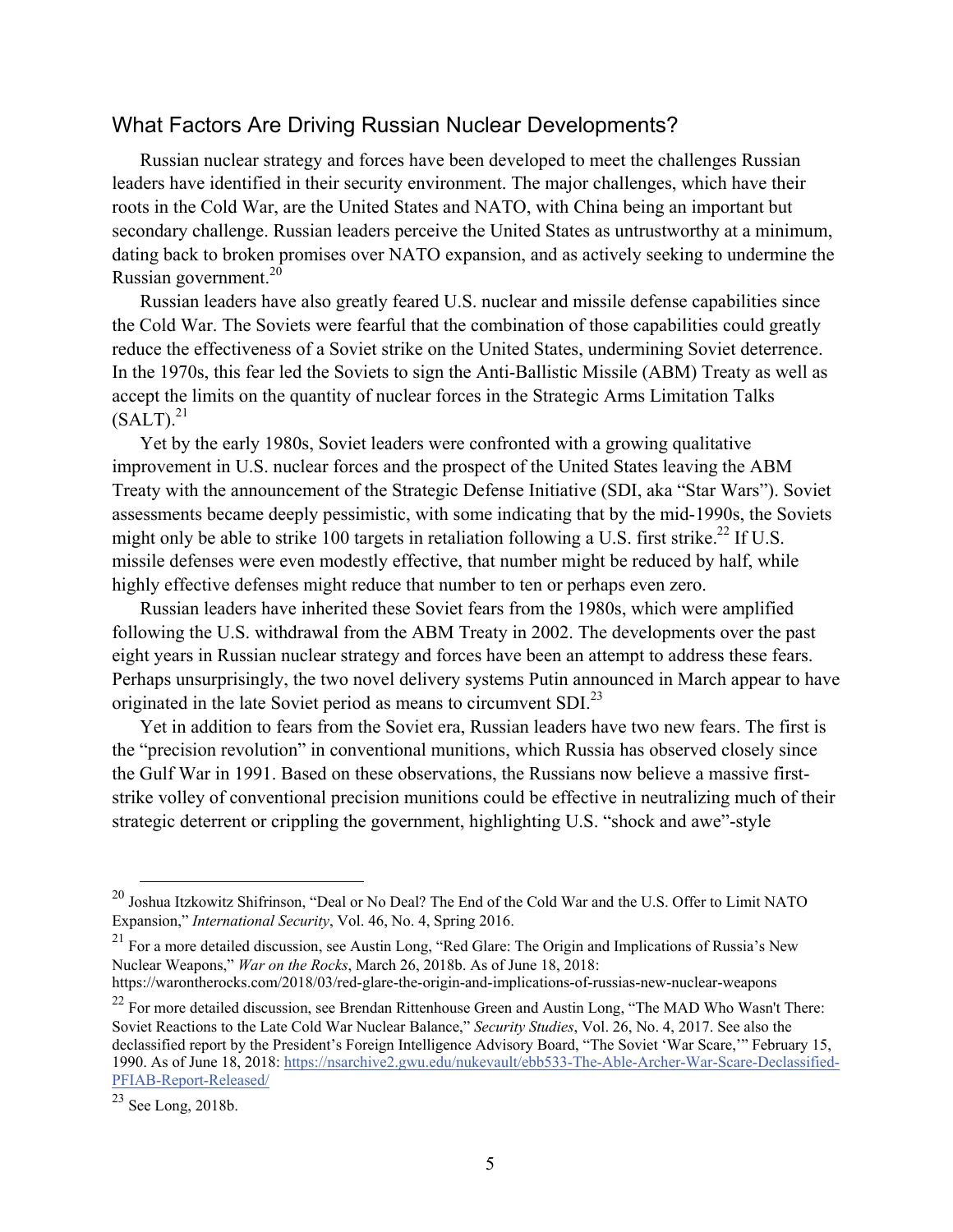### What Factors Are Driving Russian Nuclear Developments?

Russian nuclear strategy and forces have been developed to meet the challenges Russian leaders have identified in their security environment. The major challenges, which have their roots in the Cold War, are the United States and NATO, with China being an important but secondary challenge. Russian leaders perceive the United States as untrustworthy at a minimum, dating back to broken promises over NATO expansion, and as actively seeking to undermine the Russian government. $20$ 

Russian leaders have also greatly feared U.S. nuclear and missile defense capabilities since the Cold War. The Soviets were fearful that the combination of those capabilities could greatly reduce the effectiveness of a Soviet strike on the United States, undermining Soviet deterrence. In the 1970s, this fear led the Soviets to sign the Anti-Ballistic Missile (ABM) Treaty as well as accept the limits on the quantity of nuclear forces in the Strategic Arms Limitation Talks  $(SALT).^{21}$ 

Yet by the early 1980s, Soviet leaders were confronted with a growing qualitative improvement in U.S. nuclear forces and the prospect of the United States leaving the ABM Treaty with the announcement of the Strategic Defense Initiative (SDI, aka "Star Wars"). Soviet assessments became deeply pessimistic, with some indicating that by the mid-1990s, the Soviets might only be able to strike 100 targets in retaliation following a U.S. first strike.<sup>22</sup> If U.S. missile defenses were even modestly effective, that number might be reduced by half, while highly effective defenses might reduce that number to ten or perhaps even zero.

Russian leaders have inherited these Soviet fears from the 1980s, which were amplified following the U.S. withdrawal from the ABM Treaty in 2002. The developments over the past eight years in Russian nuclear strategy and forces have been an attempt to address these fears. Perhaps unsurprisingly, the two novel delivery systems Putin announced in March appear to have originated in the late Soviet period as means to circumvent SDI $^{23}$ 

Yet in addition to fears from the Soviet era, Russian leaders have two new fears. The first is the "precision revolution" in conventional munitions, which Russia has observed closely since the Gulf War in 1991. Based on these observations, the Russians now believe a massive firststrike volley of conventional precision munitions could be effective in neutralizing much of their strategic deterrent or crippling the government, highlighting U.S. "shock and awe"-style

 <sup>20</sup> Joshua Itzkowitz Shifrinson, "Deal or No Deal? The End of the Cold War and the U.S. Offer to Limit NATO Expansion," *International Security*, Vol. 46, No. 4, Spring 2016.

<sup>21</sup> For a more detailed discussion, see Austin Long, "Red Glare: The Origin and Implications of Russia's New Nuclear Weapons," *War on the Rocks*, March 26, 2018b. As of June 18, 2018: <https://warontherocks.com/2018/03/red-glare-the-origin-and-implications-of-russias-new-nuclear-weapons>

<sup>&</sup>lt;sup>22</sup> For more detailed discussion, see Brendan Rittenhouse Green and Austin Long, "The MAD Who Wasn't There: Soviet Reactions to the Late Cold War Nuclear Balance," *Security Studies*, Vol. 26, No. 4, 2017. See also the declassified report by the President's Foreign Intelligence Advisory Board, "The Soviet 'War Scare,'" February 15, 1990. As of June 18, 2018: [https://nsarchive2.gwu.edu/nukevault/ebb533-The-Able-Archer-War-Scare-Declassified-](https://nsarchive2.gwu.edu/nukevault/ebb533-The-Able-Archer-War-Scare-Declassified-PFIAB-Report-Released/)[PFIAB-Report-Released/](https://nsarchive2.gwu.edu/nukevault/ebb533-The-Able-Archer-War-Scare-Declassified-PFIAB-Report-Released/)

<sup>23</sup> See Long, 2018b.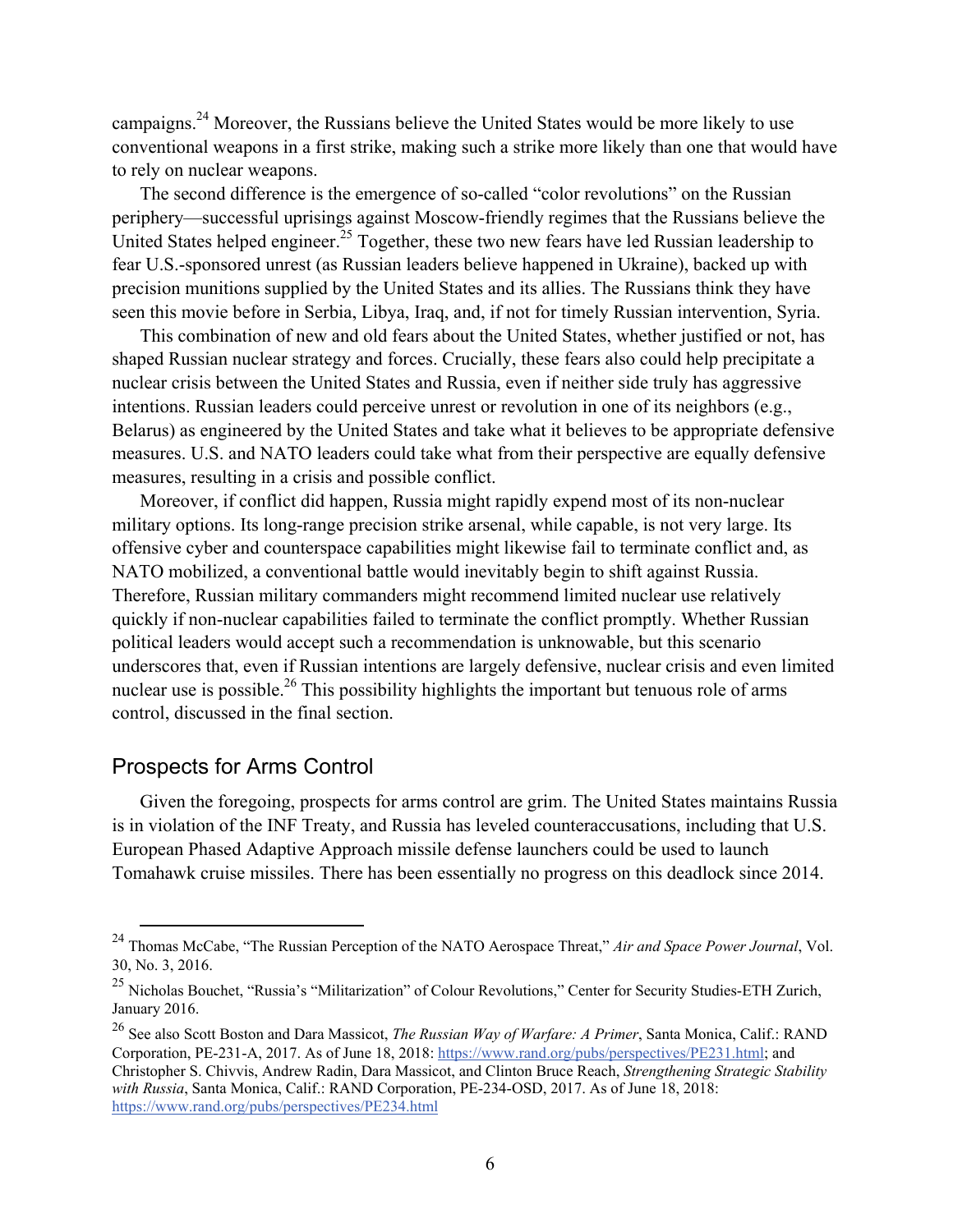campaigns.24 Moreover, the Russians believe the United States would be more likely to use conventional weapons in a first strike, making such a strike more likely than one that would have to rely on nuclear weapons.

The second difference is the emergence of so-called "color revolutions" on the Russian periphery—successful uprisings against Moscow-friendly regimes that the Russians believe the United States helped engineer.<sup>25</sup> Together, these two new fears have led Russian leadership to fear U.S.-sponsored unrest (as Russian leaders believe happened in Ukraine), backed up with precision munitions supplied by the United States and its allies. The Russians think they have seen this movie before in Serbia, Libya, Iraq, and, if not for timely Russian intervention, Syria.

This combination of new and old fears about the United States, whether justified or not, has shaped Russian nuclear strategy and forces. Crucially, these fears also could help precipitate a nuclear crisis between the United States and Russia, even if neither side truly has aggressive intentions. Russian leaders could perceive unrest or revolution in one of its neighbors (e.g., Belarus) as engineered by the United States and take what it believes to be appropriate defensive measures. U.S. and NATO leaders could take what from their perspective are equally defensive measures, resulting in a crisis and possible conflict.

Moreover, if conflict did happen, Russia might rapidly expend most of its non-nuclear military options. Its long-range precision strike arsenal, while capable, is not very large. Its offensive cyber and counterspace capabilities might likewise fail to terminate conflict and, as NATO mobilized, a conventional battle would inevitably begin to shift against Russia. Therefore, Russian military commanders might recommend limited nuclear use relatively quickly if non-nuclear capabilities failed to terminate the conflict promptly. Whether Russian political leaders would accept such a recommendation is unknowable, but this scenario underscores that, even if Russian intentions are largely defensive, nuclear crisis and even limited nuclear use is possible.<sup>26</sup> This possibility highlights the important but tenuous role of arms control, discussed in the final section.

## Prospects for Arms Control

Given the foregoing, prospects for arms control are grim. The United States maintains Russia is in violation of the INF Treaty, and Russia has leveled counteraccusations, including that U.S. European Phased Adaptive Approach missile defense launchers could be used to launch Tomahawk cruise missiles. There has been essentially no progress on this deadlock since 2014.

 <sup>24</sup> Thomas McCabe, "The Russian Perception of the NATO Aerospace Threat," *Air and Space Power Journal*, Vol. 30, No. 3, 2016.

<sup>&</sup>lt;sup>25</sup> Nicholas Bouchet, "Russia's "Militarization" of Colour Revolutions," Center for Security Studies-ETH Zurich, January 2016.

<sup>26</sup> See also Scott Boston and Dara Massicot, *The Russian Way of Warfare: A Primer*, Santa Monica, Calif.: RAND Corporation, PE-231-A, 2017. As of June 18, 2018: [https://www.rand.org/pubs/perspectives/PE231.html;](https://www.rand.org/pubs/perspectives/PE231.html) and Christopher S. Chivvis, Andrew Radin, Dara Massicot, and Clinton Bruce Reach, *Strengthening Strategic Stability with Russia*, Santa Monica, Calif.: RAND Corporation, PE-234-OSD, 2017. As of June 18, 2018: <https://www.rand.org/pubs/perspectives/PE234.html>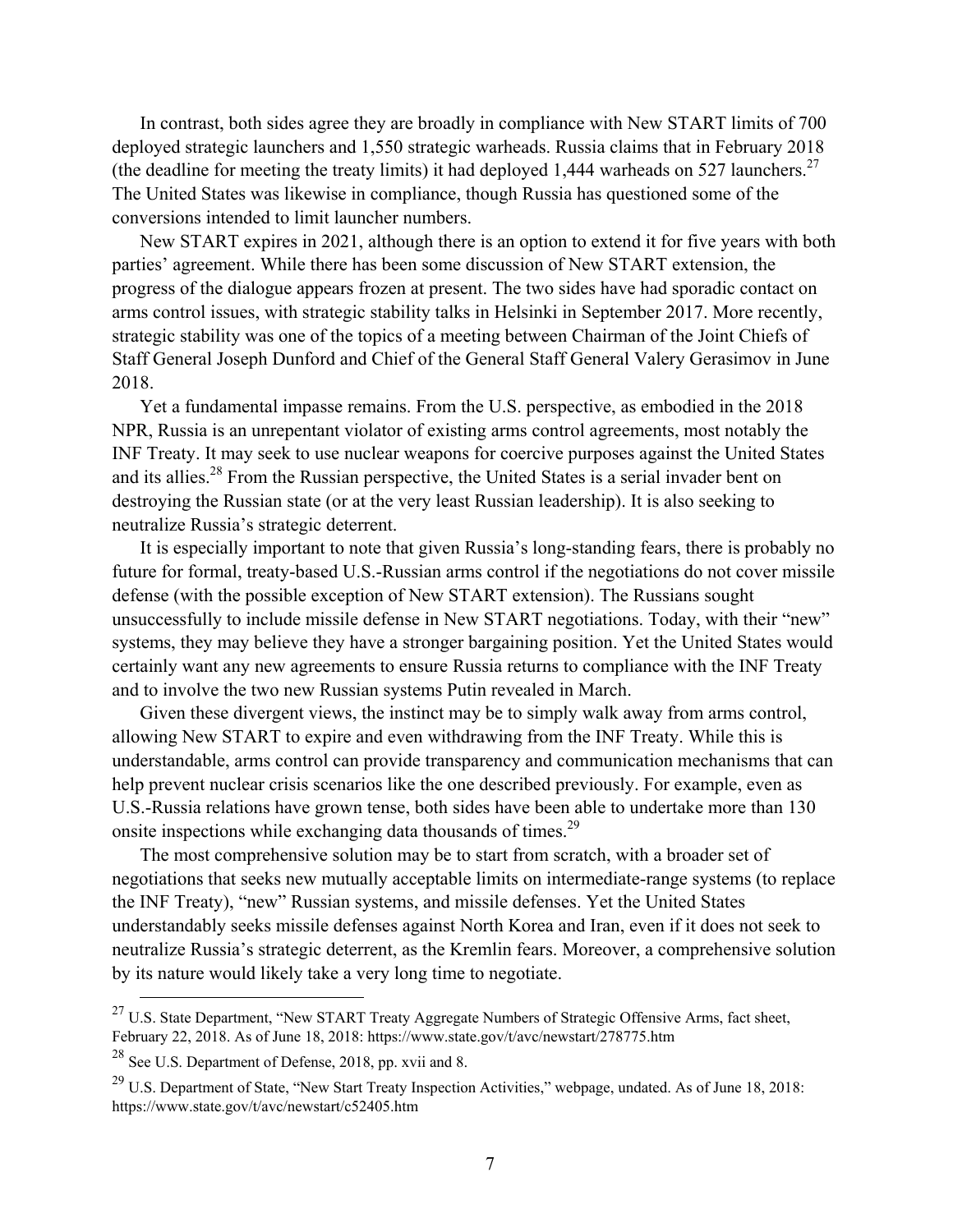In contrast, both sides agree they are broadly in compliance with New START limits of 700 deployed strategic launchers and 1,550 strategic warheads. Russia claims that in February 2018 (the deadline for meeting the treaty limits) it had deployed 1,444 warheads on 527 launchers.<sup>27</sup> The United States was likewise in compliance, though Russia has questioned some of the conversions intended to limit launcher numbers.

New START expires in 2021, although there is an option to extend it for five years with both parties' agreement. While there has been some discussion of New START extension, the progress of the dialogue appears frozen at present. The two sides have had sporadic contact on arms control issues, with strategic stability talks in Helsinki in September 2017. More recently, strategic stability was one of the topics of a meeting between Chairman of the Joint Chiefs of Staff General Joseph Dunford and Chief of the General Staff General Valery Gerasimov in June 2018.

Yet a fundamental impasse remains. From the U.S. perspective, as embodied in the 2018 NPR, Russia is an unrepentant violator of existing arms control agreements, most notably the INF Treaty. It may seek to use nuclear weapons for coercive purposes against the United States and its allies.<sup>28</sup> From the Russian perspective, the United States is a serial invader bent on destroying the Russian state (or at the very least Russian leadership). It is also seeking to neutralize Russia's strategic deterrent.

It is especially important to note that given Russia's long-standing fears, there is probably no future for formal, treaty-based U.S.-Russian arms control if the negotiations do not cover missile defense (with the possible exception of New START extension). The Russians sought unsuccessfully to include missile defense in New START negotiations. Today, with their "new" systems, they may believe they have a stronger bargaining position. Yet the United States would certainly want any new agreements to ensure Russia returns to compliance with the INF Treaty and to involve the two new Russian systems Putin revealed in March.

Given these divergent views, the instinct may be to simply walk away from arms control, allowing New START to expire and even withdrawing from the INF Treaty. While this is understandable, arms control can provide transparency and communication mechanisms that can help prevent nuclear crisis scenarios like the one described previously. For example, even as U.S.-Russia relations have grown tense, both sides have been able to undertake more than 130 onsite inspections while exchanging data thousands of times.<sup>29</sup>

The most comprehensive solution may be to start from scratch, with a broader set of negotiations that seeks new mutually acceptable limits on intermediate-range systems (to replace the INF Treaty), "new" Russian systems, and missile defenses. Yet the United States understandably seeks missile defenses against North Korea and Iran, even if it does not seek to neutralize Russia's strategic deterrent, as the Kremlin fears. Moreover, a comprehensive solution by its nature would likely take a very long time to negotiate.

 $^{27}$  U.S. State Department, "New START Treaty Aggregate Numbers of Strategic Offensive Arms, fact sheet, February 22, 2018. As of June 18, 2018:<https://www.state.gov/t/avc/newstart/278775.htm>

<sup>28</sup> See U.S. Department of Defense, 2018, pp. xvii and 8.

<sup>&</sup>lt;sup>29</sup> U.S. Department of State, "New Start Treaty Inspection Activities," webpage, undated. As of June 18, 2018: <https://www.state.gov/t/avc/newstart/c52405.htm>